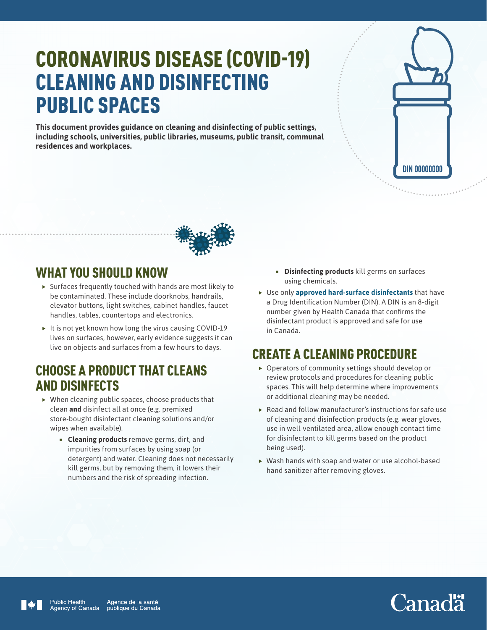## CORONAVIRUS DISEASE (COVID-19) CLEANING AND DISINFECTING PUBLIC SPACES

**This document provides guidance on cleaning and disinfecting of public settings, including schools, universities, public libraries, museums, public transit, communal residences and workplaces.**





## WHAT YOU SHOULD KNOW

- $\triangleright$  Surfaces frequently touched with hands are most likely to be contaminated. These include doorknobs, handrails, elevator buttons, light switches, cabinet handles, faucet handles, tables, countertops and electronics.
- $\blacktriangleright$  It is not yet known how long the virus causing COVID-19 lives on surfaces, however, early evidence suggests it can live on objects and surfaces from a few hours to days.

## CHOOSE A PRODUCT THAT CLEANS AND DISINFECTS

- $\triangleright$  When cleaning public spaces, choose products that clean **and** disinfect all at once (e.g. premixed store-bought disinfectant cleaning solutions and/or wipes when available).
	- **Cleaning products** remove germs, dirt, and impurities from surfaces by using soap (or detergent) and water. Cleaning does not necessarily kill germs, but by removing them, it lowers their numbers and the risk of spreading infection.
- **Disinfecting products** kill germs on surfaces using chemicals.
- $\blacktriangleright$  Use only **[approved hard-surface disinfectants](https://www.canada.ca/en/public-health/services/publications/diseases-conditions/cleaning-disinfecting-public-spaces.html)** that have a Drug Identification Number (DIN). A DIN is an 8-digit number given by Health Canada that confirms the disinfectant product is approved and safe for use in Canada.

## CREATE A CLEANING PROCEDURE

- $\triangleright$  Operators of community settings should develop or review protocols and procedures for cleaning public spaces. This will help determine where improvements or additional cleaning may be needed.
- $\blacktriangleright$  Read and follow manufacturer's instructions for safe use of cleaning and disinfection products (e.g. wear gloves, use in well-ventilated area, allow enough contact time for disinfectant to kill germs based on the product being used).
- $\triangleright$  Wash hands with soap and water or use alcohol-based hand sanitizer after removing gloves.